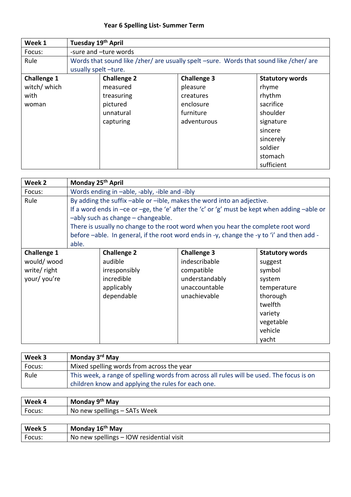## **Year 6 Spelling List- Summer Term**

| Week 1             | Tuesday 19th April  |                       |                                                                                        |                        |  |
|--------------------|---------------------|-----------------------|----------------------------------------------------------------------------------------|------------------------|--|
| Focus:             |                     | -sure and -ture words |                                                                                        |                        |  |
| Rule               |                     |                       | Words that sound like /zher/ are usually spelt -sure. Words that sound like /cher/ are |                        |  |
|                    | usually spelt-ture. |                       |                                                                                        |                        |  |
| <b>Challenge 1</b> |                     | <b>Challenge 2</b>    | <b>Challenge 3</b>                                                                     | <b>Statutory words</b> |  |
| witch/ which       |                     | measured              | pleasure                                                                               | rhyme                  |  |
| with               |                     | treasuring            | creatures                                                                              | rhythm                 |  |
| woman              |                     | pictured              | enclosure                                                                              | sacrifice              |  |
|                    |                     | unnatural             | furniture                                                                              | shoulder               |  |
|                    |                     | capturing             | adventurous                                                                            | signature              |  |
|                    |                     |                       |                                                                                        | sincere                |  |
|                    |                     |                       |                                                                                        | sincerely              |  |
|                    |                     |                       |                                                                                        | soldier                |  |
|                    |                     |                       |                                                                                        | stomach                |  |
|                    |                     |                       |                                                                                        | sufficient             |  |

| Week 2             | Monday 25 <sup>th</sup> April                 |                                                                    |                                                                                              |             |  |  |
|--------------------|-----------------------------------------------|--------------------------------------------------------------------|----------------------------------------------------------------------------------------------|-------------|--|--|
| Focus:             | Words ending in -able, -ably, -ible and -ibly |                                                                    |                                                                                              |             |  |  |
| Rule               |                                               |                                                                    | By adding the suffix -able or -ible, makes the word into an adjective.                       |             |  |  |
|                    |                                               |                                                                    | If a word ends in -ce or -ge, the 'e' after the 'c' or 'g' must be kept when adding -able or |             |  |  |
|                    |                                               | -ably such as change - changeable.                                 |                                                                                              |             |  |  |
|                    |                                               |                                                                    | There is usually no change to the root word when you hear the complete root word             |             |  |  |
|                    |                                               |                                                                    | before -able. In general, if the root word ends in -y, change the -y to 'i' and then add -   |             |  |  |
|                    | able.                                         |                                                                    |                                                                                              |             |  |  |
| <b>Challenge 1</b> |                                               | <b>Challenge 2</b><br><b>Challenge 3</b><br><b>Statutory words</b> |                                                                                              |             |  |  |
| would/wood         |                                               | audible                                                            | indescribable                                                                                | suggest     |  |  |
| write/right        |                                               | irresponsibly                                                      | compatible                                                                                   | symbol      |  |  |
| your/ you're       |                                               | incredible                                                         | understandably                                                                               | system      |  |  |
|                    |                                               | applicably                                                         | unaccountable                                                                                | temperature |  |  |
|                    |                                               | dependable                                                         | unachievable                                                                                 | thorough    |  |  |
|                    |                                               |                                                                    |                                                                                              | twelfth     |  |  |
|                    |                                               |                                                                    |                                                                                              | variety     |  |  |
|                    |                                               |                                                                    |                                                                                              | vegetable   |  |  |
|                    |                                               |                                                                    |                                                                                              | vehicle     |  |  |
|                    |                                               |                                                                    |                                                                                              | yacht       |  |  |

| Week 3 | Monday 3 <sup>rd</sup> May                                                                                                                     |
|--------|------------------------------------------------------------------------------------------------------------------------------------------------|
| Focus: | Mixed spelling words from across the year                                                                                                      |
| Rule   | This week, a range of spelling words from across all rules will be used. The focus is on<br>children know and applying the rules for each one. |

| Week 4 | Monday 9 <sup>th</sup> May   |
|--------|------------------------------|
| Focus: | No new spellings - SATs Week |
|        |                              |

| Week 5 | Monday 16 <sup>th</sup> May              |
|--------|------------------------------------------|
| Focus: | No new spellings - IOW residential visit |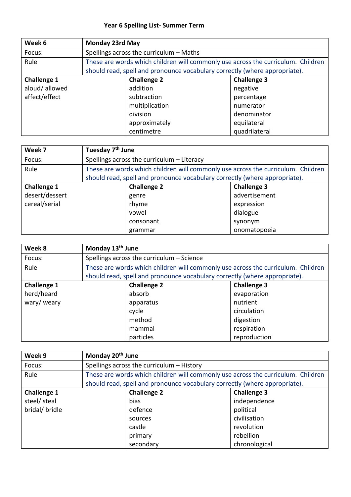## **Year 6 Spelling List- Summer Term**

| Week 6             | <b>Monday 23rd May</b> |                                                                                  |                    |
|--------------------|------------------------|----------------------------------------------------------------------------------|--------------------|
| Focus:             |                        | Spellings across the curriculum - Maths                                          |                    |
| Rule               |                        | These are words which children will commonly use across the curriculum. Children |                    |
|                    |                        | should read, spell and pronounce vocabulary correctly (where appropriate).       |                    |
| <b>Challenge 1</b> |                        | <b>Challenge 2</b>                                                               | <b>Challenge 3</b> |
| aloud/allowed      |                        | addition                                                                         | negative           |
| affect/effect      |                        | subtraction                                                                      | percentage         |
|                    |                        | multiplication                                                                   | numerator          |
|                    |                        | division                                                                         | denominator        |
|                    |                        | approximately                                                                    | equilateral        |
|                    |                        | centimetre                                                                       | quadrilateral      |

| Week 7             | Tuesday 7 <sup>th</sup> June |                                                                                  |                    |  |
|--------------------|------------------------------|----------------------------------------------------------------------------------|--------------------|--|
| Focus:             |                              | Spellings across the curriculum - Literacy                                       |                    |  |
| Rule               |                              | These are words which children will commonly use across the curriculum. Children |                    |  |
|                    |                              | should read, spell and pronounce vocabulary correctly (where appropriate).       |                    |  |
| <b>Challenge 1</b> |                              | <b>Challenge 2</b>                                                               | <b>Challenge 3</b> |  |
| desert/dessert     |                              | genre                                                                            | advertisement      |  |
| cereal/serial      |                              | rhyme                                                                            | expression         |  |
|                    |                              | vowel                                                                            | dialogue           |  |
|                    |                              | consonant                                                                        | synonym            |  |
|                    |                              | grammar                                                                          | onomatopoeia       |  |

| Week 8             | Monday 13 <sup>th</sup> June |                                                                                  |                    |
|--------------------|------------------------------|----------------------------------------------------------------------------------|--------------------|
| Focus:             |                              | Spellings across the curriculum - Science                                        |                    |
| Rule               |                              | These are words which children will commonly use across the curriculum. Children |                    |
|                    |                              | should read, spell and pronounce vocabulary correctly (where appropriate).       |                    |
| <b>Challenge 1</b> |                              | <b>Challenge 2</b>                                                               | <b>Challenge 3</b> |
| herd/heard         |                              | absorb                                                                           | evaporation        |
| wary/ weary        |                              | apparatus                                                                        | nutrient           |
|                    |                              | cycle                                                                            | circulation        |
|                    |                              | method                                                                           | digestion          |
|                    |                              | mammal                                                                           | respiration        |
|                    |                              | particles                                                                        | reproduction       |

| Week 9             | Monday 20 <sup>th</sup> June |                                                                                  |                    |
|--------------------|------------------------------|----------------------------------------------------------------------------------|--------------------|
| Focus:             |                              | Spellings across the curriculum - History                                        |                    |
| Rule               |                              | These are words which children will commonly use across the curriculum. Children |                    |
|                    |                              | should read, spell and pronounce vocabulary correctly (where appropriate).       |                    |
| <b>Challenge 1</b> |                              | <b>Challenge 2</b>                                                               | <b>Challenge 3</b> |
| steel/ steal       |                              | bias                                                                             | independence       |
| bridal/ bridle     |                              | defence                                                                          | political          |
|                    |                              | sources                                                                          | civilisation       |
|                    |                              | castle                                                                           | revolution         |
|                    |                              | primary                                                                          | rebellion          |
|                    |                              | secondary                                                                        | chronological      |